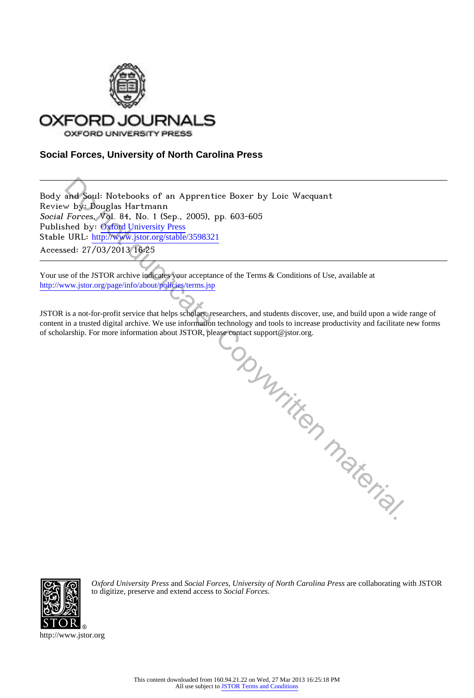

# **Social Forces, University of North Carolina Press**

Body and Soul: Notebooks of an Apprentice Boxer by Loic Wacquant Review by: Douglas Hartmann Social Forces, Vol. 84, No. 1 (Sep., 2005), pp. 603-605 Published by: Oxford University Press Stable URL: http://www.jstor.org/stable/3598321 Accessed: 27/03/2013 16:25

Your use of the JSTOR archive indicates your acceptance of the Terms & Conditions of Use, available at http://www.jstor.org/page/info/about/policies/terms.jsp

JSTOR is a not-for-profit service that helps scholars, researchers, and students discover, use, and build upon a wide range of content in a trusted digital archive. We use information technology and tools to increase productivity and facilitate new forms of scholarship. For more information about JSTOR, please contact support@jstor.org. All use Subjec[t](http://www.jstor.org/stable/3598321?origin=JSTOR-pdf) to Max

*Oxford University Press* and *Social Forces, University of North Carolina Press* are collaborating with JSTOR to digitize, preserve and extend access to *Social Forces.*

http://www.jstor.org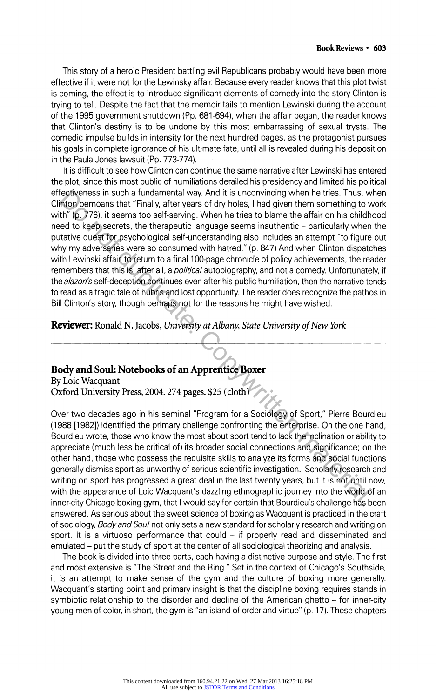**This story of a heroic President battling evil Republicans probably would have been more effective if it were not for the Lewinsky affair. Because every reader knows that this plot twist is coming, the effect is to introduce significant elements of comedy into the story Clinton is trying to tell. Despite the fact that the memoir fails to mention Lewinski during the account of the 1995 government shutdown (Pp. 681-694), when the affair began, the reader knows that Clinton's destiny is to be undone by this most embarrassing of sexual trysts. The comedic impulse builds in intensity for the next hundred pages, as the protagonist pursues his goals in complete ignorance of his ultimate fate, until all is revealed during his deposition his in the Paula Jones lawsuit (Pp. 773-774).** 

**It is difficult to see how Clinton can continue the same narrative after Lewinski has entered the plot, since this most public of humiliations derailed his presidency and limited his political effectiveness in such a fundamental way. And it is unconvincing when he tries. Thus, when Clinton bemoans that "Finally, after years of dry holes, I had given them something to work with" (p. 776), it seems too self-serving. When he tries to blame the affair on his childhood need to keep secrets, the therapeutic language seems inauthentic - particularly when the putative quest for psychological self-understanding also includes an attempt "to figure out why my adversaries were so consumed with hatred." (p. 847) And when Clinton dispatches with Lewinski affair, to return to a final 100-page chronicle of policy achievements, the reader remembers that this is, after all, a political autobiography, and not a comedy. Unfortunately, if**  the *alazon's* self-deception continues even after his public humiliation, then the narrative tends **to read as a tragic tale of hubris and lost opportunity. The reader does recognize the pathos in Bill Clinton's story, though perhaps not for the reasons he might have wished.** 

**Reviewer:** Ronald N. Jacobs, University at Albany, State University of New York

## **Body and Soul: Notebooks of an Apprentice Boxer**

**By Loic Wacquant**  Oxford University Press, 2004. 274 pages. \$25 (cloth)

**Over two decades ago in his seminal "Program for a Sociology of Sport," Pierre Bourdieu (1988 [1982]) identified the primary challenge confronting the enterprise. On the one hand, Bourdieu wrote, those who know the most about sport tend to lack the inclination or ability to appreciate (much less be critical of) its broader social connections and significance; on the other hand, those who possess the requisite skills to analyze its forms and social functions generally dismiss sport as unworthy of serious scientific investigation. Scholarly research and writing on sport has progressed a great deal in the last twenty years, but it is not until now, with the appearance of Loic Wacquant's dazzling ethnographic journey into the world of an inner-city Chicago boxing gym, that I would say for certain that Bourdieu's challenge has been answered. As serious about the sweet science of boxing as Wacquant is practiced in the craft of sociology, Body and Soul not only sets a new standard for scholarly research and writing on sport. It is a virtuoso performance that could - if properly read and disseminated and emulated - put the study of sport at the center of all sociological theorizing and analysis.**  echevenes in subra hundmential way And it is uncommoning when he thres. Thus, we did the follow the proparties to be firse to Distribute (if users to self-serving. When the follow the material of the follow the proparties

**The book is divided into three parts, each having a distinctive purpose and style. The first and most extensive is "The Street and the Ring." Set in the context of Chicago's Southside, it is an attempt to make sense of the gym and the culture of boxing more generally. Wacquant's tarting point and primary insight is that the discipline boxing requires stands in**  symbiotic relationship to the disorder and decline of the American ghetto – for inner-city **young men of color, in short, the gym is "an island of order and virtue" (p. 17). These chapters**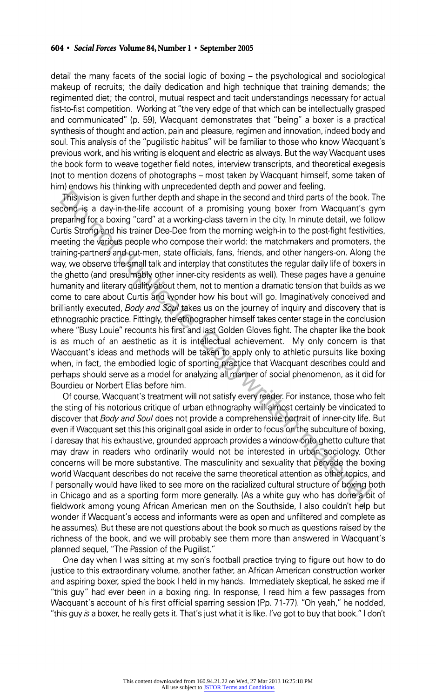#### **604 \* Social Forces Volume 84, Number 1 \* September 2005**

detail the many facets of the social logic of boxing – the psychological and sociological **makeup of recruits; the daily dedication and high technique that training demands; the regimented diet; the control, mutual respect and tacit understandings necessary for actual fist-to-fist competition. Working at "the very edge of that which can be intellectually grasped and communicated" (p. 59), Wacquant demonstrates that "being" a boxer is a practical synthesis of thought and action, pain and pleasure, regimen and innovation, indeed body and soul. This analysis of the "pugilistic habitus" will be familiar to those who know Wacquant's previous work, and his writing is eloquent and electric as always. But the way Wacquant uses the book form to weave together field notes, interview transcripts, and theoretical exegesis**  (not to mention dozens of photographs - most taken by Wacquant himself, some taken of him) endows his thinking with unprecedented depth and power and feeling.

**This vision is given further depth and shape in the second and third parts of the book. The second is a day-in-the-life account of a promising young boxer from Wacquant's gym preparing for a boxing "card" at a working-class tavern in the city. In minute detail, we follow Curtis Strong and his trainer Dee-Dee from the morning weigh-in to the post-fight festivities, meeting the various people who compose their world: the matchmakers and promoters, the training-partners and cut-men, state officials, fans, friends, and other hangers-on. Along the way, we observe the small talk and interplay that constitutes the regular daily life of boxers in the ghetto (and presumably other inner-city residents as well). These pages have a genuine humanity and literary quality about them, not to mention a dramatic tension that builds as we come to care about Curtis and wonder how his bout will go. Imaginatively conceived and brilliantly executed, Body and Soul takes us on the journey of inquiry and discovery that is ethnographic practice. Fittingly, the ethnographer himself takes center stage in the conclusion where "Busy Louie" recounts his first and last Golden Gloves fight. The chapter like the book is as much of an aesthetic as it is intellectual achievement. My only concern is that Wacquant's ideas and methods will be taken to apply only to athletic pursuits like boxing when, in fact, the embodied logic of sporting practice that Wacquant describes could and perhaps should serve as a model for analyzing all manner of social phenomenon, as it did for Bourdieu or Norbert Elias before him.**  This wise in the total of the book interaction and cappe in the second and third parts of the book.<br>
and this method is grained by tarial as working class taxe in the city, in minute detail, we book in the capped this tra

**Of course, Wacquant's treatment will not satisfy every reader. For instance, those who felt the sting of his notorious critique of urban ethnography will almost certainly be vindicated to discover that Body and Soul does not provide a comprehensive portrait of inner-city life. But even if Wacquant set this (his original) goal aside in order to focus on the subculture of boxing, I daresay that his exhaustive, grounded approach provides a window onto ghetto culture that may draw in readers who ordinarily would not be interested in urban sociology. Other concerns will be more substantive. The masculinity and sexuality that pervade the boxing world Wacquant describes do not receive the same theoretical attention as other topics, and I personally would have liked to see more on the racialized cultural structure of boxing both in Chicago and as a sporting form more generally. (As a white guy who has done a bit of fieldwork among young African American men on the Southside, I also couldn't help but wonder if Wacquant's access and informants were as open and unfiltered and complete as he assumes). But these are not questions about the book so much as questions raised by the richness of the book, and we will probably see them more than answered in Wacquant's planned sequel, "The Passion of the Pugilist."** 

**One day when I was sitting at my son's football practice trying to figure out how to do justice to this extraordinary volume, another father, an African American construction worker and aspiring boxer, spied the book I held in my hands. Immediately skeptical, he asked me if "this guy" had ever been in a boxing ring. In response, I read him a few passages from Wacquant's account of his first official sparring session (Pp. 71-77). "Oh yeah," he nodded, "this guy is a boxer, he really gets it. That's just what it is like. I've got to buy that book." I don't**